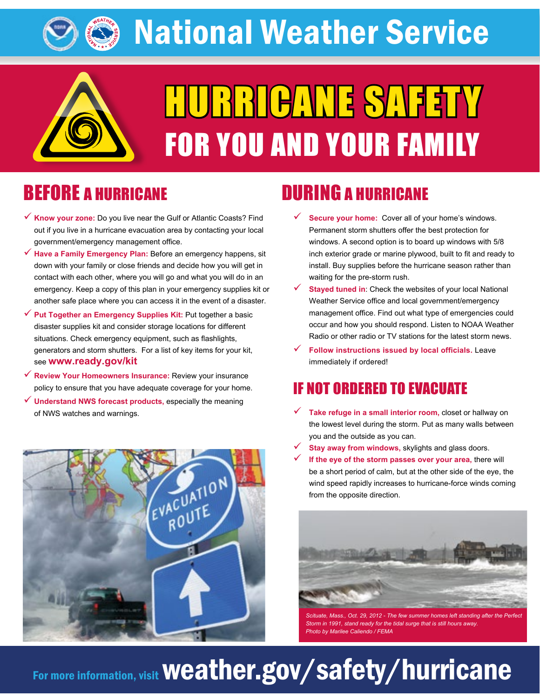National Weather Service



# HURRICANE SAFETY FOR YOU AND YOUR FAMILY

# BEFORE A HURRICANE

- 9 **Know your zone:** Do you live near the Gulf or Atlantic Coasts? Find out if you live in a hurricane evacuation area by contacting your local government/emergency management office.
- 9 **Have a Family Emergency Plan:** Before an emergency happens, sit down with your family or close friends and decide how you will get in contact with each other, where you will go and what you will do in an emergency. Keep a copy of this plan in your emergency supplies kit or another safe place where you can access it in the event of a disaster.
- Put Together an Emergency Supplies Kit: Put together a basic disaster supplies kit and consider storage locations for different situations. Check emergency equipment, such as flashlights, generators and storm shutters. For a list of key items for your kit, see **[www.ready.gov/kit](http://www.ready.gov/kit)**
- 9 **Review Your Homeowners Insurance:** Review your insurance policy to ensure that you have adequate coverage for your home.
- 9 **Understand NWS forecast products,** especially the meaning of NWS watches and warnings.



### DURING A HURRICANE

- **Secure your home:** Cover all of your home's windows. Permanent storm shutters offer the best protection for windows. A second option is to board up windows with 5/8 inch exterior grade or marine plywood, built to fit and ready to install. Buy supplies before the hurricane season rather than waiting for the pre-storm rush.
- **Stayed tuned in:** Check the websites of your local National Weather Service office and local government/emergency management office. Find out what type of emergencies could occur and how you should respond. Listen to NOAA Weather Radio or other radio or TV stations for the latest storm news.
- 9 **Follow instructions issued by local officials.** Leave immediately if ordered!

#### IF NOT ORDERED TO EVACUATE

- $\checkmark$  Take refuge in a small interior room, closet or hallway on the lowest level during the storm. Put as many walls between you and the outside as you can.
- **Stay away from windows, skylights and glass doors.**
- If the eye of the storm passes over your area, there will be a short period of calm, but at the other side of the eye, the wind speed rapidly increases to hurricane-force winds coming from the opposite direction.



Scituate, Mass., Oct. 29, 2012 - The few summer homes left standing after the Pe *Storm in 1991, stand ready for the tidal surge that is still hours away. Photo by Marilee Caliendo / FEMA*

# For more information, visit weather.gov/safety/hurricane